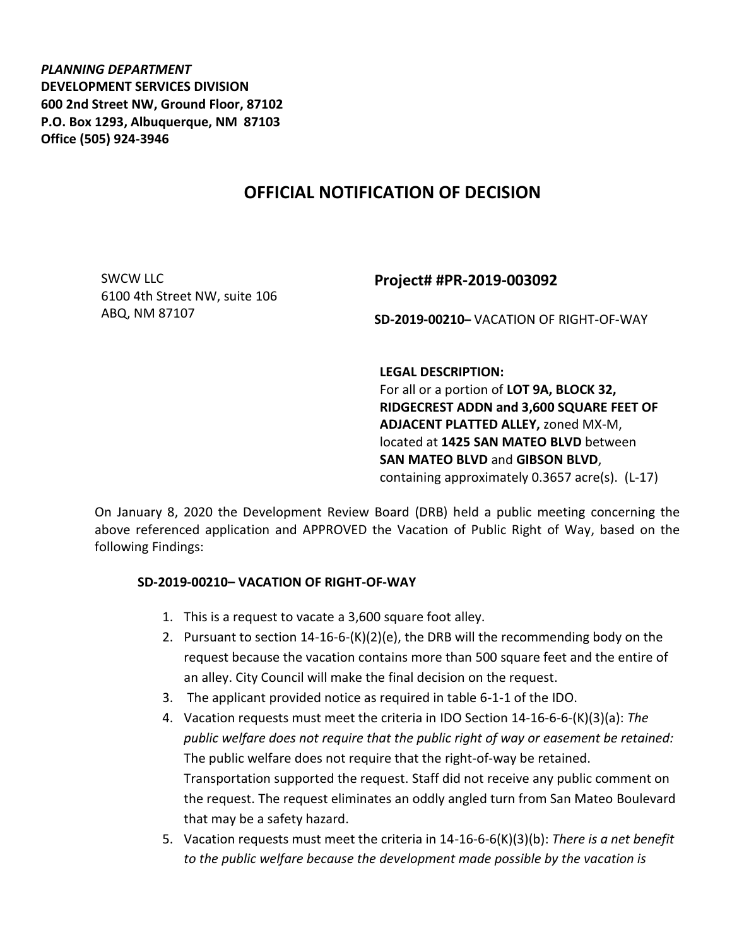*PLANNING DEPARTMENT* **DEVELOPMENT SERVICES DIVISION 600 2nd Street NW, Ground Floor, 87102 P.O. Box 1293, Albuquerque, NM 87103 Office (505) 924-3946** 

## **OFFICIAL NOTIFICATION OF DECISION**

SWCW LLC 6100 4th Street NW, suite 106 ABQ, NM 87107

## **Project# #PR-2019-003092**

**SD-2019-00210–** VACATION OF RIGHT-OF-WAY

**LEGAL DESCRIPTION:**

For all or a portion of **LOT 9A, BLOCK 32, RIDGECREST ADDN and 3,600 SQUARE FEET OF ADJACENT PLATTED ALLEY,** zoned MX-M, located at **1425 SAN MATEO BLVD** between **SAN MATEO BLVD** and **GIBSON BLVD**, containing approximately 0.3657 acre(s). (L-17)

On January 8, 2020 the Development Review Board (DRB) held a public meeting concerning the above referenced application and APPROVED the Vacation of Public Right of Way, based on the following Findings:

## **SD-2019-00210– VACATION OF RIGHT-OF-WAY**

- 1. This is a request to vacate a 3,600 square foot alley.
- 2. Pursuant to section 14-16-6-(K)(2)(e), the DRB will the recommending body on the request because the vacation contains more than 500 square feet and the entire of an alley. City Council will make the final decision on the request.
- 3. The applicant provided notice as required in table 6-1-1 of the IDO.
- 4. Vacation requests must meet the criteria in IDO Section 14-16-6-6-(K)(3)(a): *The public welfare does not require that the public right of way or easement be retained:* The public welfare does not require that the right-of-way be retained. Transportation supported the request. Staff did not receive any public comment on the request. The request eliminates an oddly angled turn from San Mateo Boulevard that may be a safety hazard.
- 5. Vacation requests must meet the criteria in 14-16-6-6(K)(3)(b): *There is a net benefit to the public welfare because the development made possible by the vacation is*